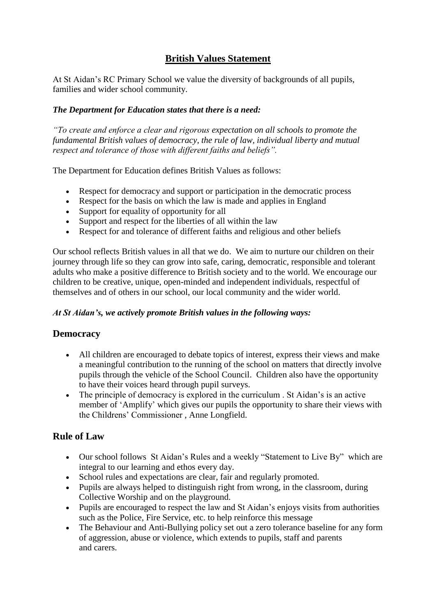### **British Values Statement**

At St Aidan"s RC Primary School we value the diversity of backgrounds of all pupils, families and wider school community.

### *The Department for Education states that there is a need:*

*"To create and enforce a clear and rigorous expectation on all schools to promote the fundamental British values of democracy, the rule of law, individual liberty and mutual respect and tolerance of those with different faiths and beliefs".*

The Department for Education defines British Values as follows:

- Respect for democracy and support or participation in the democratic process
- Respect for the basis on which the law is made and applies in England
- Support for equality of opportunity for all
- Support and respect for the liberties of all within the law
- Respect for and tolerance of different faiths and religious and other beliefs

Our school reflects British values in all that we do. We aim to nurture our children on their journey through life so they can grow into safe, caring, democratic, responsible and tolerant adults who make a positive difference to British society and to the world. We encourage our children to be creative, unique, open-minded and independent individuals, respectful of themselves and of others in our school, our local community and the wider world.

#### *At St Aidan's, we actively promote British values in the following ways:*

### **Democracy**

- All children are encouraged to debate topics of interest, express their views and make a meaningful contribution to the running of the school on matters that directly involve pupils through the vehicle of the School Council. Children also have the opportunity to have their voices heard through pupil surveys.
- The principle of democracy is explored in the curriculum . St Aidan's is an active member of "Amplify" which gives our pupils the opportunity to share their views with the Childrens" Commissioner , Anne Longfield.

### **Rule of Law**

- Our school follows St Aidan"s Rules and a weekly "Statement to Live By" which are integral to our learning and ethos every day.
- School rules and expectations are clear, fair and regularly promoted.
- Pupils are always helped to distinguish right from wrong, in the classroom, during Collective Worship and on the playground.
- Pupils are encouraged to respect the law and St Aidan"s enjoys visits from authorities such as the Police, Fire Service, etc. to help reinforce this message
- The Behaviour and Anti-Bullying policy set out a zero tolerance baseline for any form of aggression, abuse or violence, which extends to pupils, staff and parents and carers.